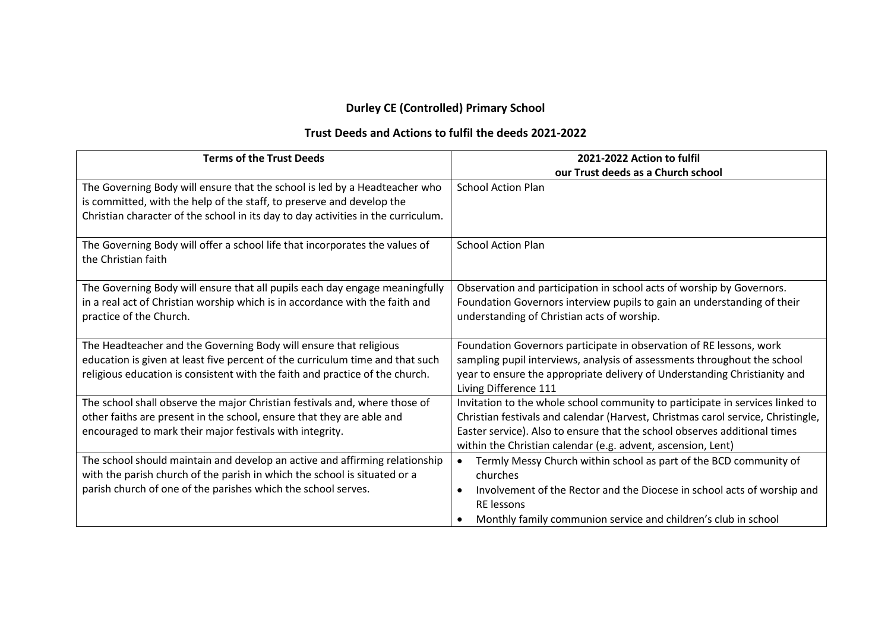## **Durley CE (Controlled) Primary School**

## **Trust Deeds and Actions to fulfil the deeds 2021-2022**

| <b>Terms of the Trust Deeds</b>                                                                                                                                                                                                          | 2021-2022 Action to fulfil                                                                                                                                                                                                                                                                                     |
|------------------------------------------------------------------------------------------------------------------------------------------------------------------------------------------------------------------------------------------|----------------------------------------------------------------------------------------------------------------------------------------------------------------------------------------------------------------------------------------------------------------------------------------------------------------|
|                                                                                                                                                                                                                                          | our Trust deeds as a Church school                                                                                                                                                                                                                                                                             |
| The Governing Body will ensure that the school is led by a Headteacher who<br>is committed, with the help of the staff, to preserve and develop the<br>Christian character of the school in its day to day activities in the curriculum. | <b>School Action Plan</b>                                                                                                                                                                                                                                                                                      |
| The Governing Body will offer a school life that incorporates the values of<br>the Christian faith                                                                                                                                       | <b>School Action Plan</b>                                                                                                                                                                                                                                                                                      |
| The Governing Body will ensure that all pupils each day engage meaningfully<br>in a real act of Christian worship which is in accordance with the faith and<br>practice of the Church.                                                   | Observation and participation in school acts of worship by Governors.<br>Foundation Governors interview pupils to gain an understanding of their<br>understanding of Christian acts of worship.                                                                                                                |
| The Headteacher and the Governing Body will ensure that religious<br>education is given at least five percent of the curriculum time and that such<br>religious education is consistent with the faith and practice of the church.       | Foundation Governors participate in observation of RE lessons, work<br>sampling pupil interviews, analysis of assessments throughout the school<br>year to ensure the appropriate delivery of Understanding Christianity and<br>Living Difference 111                                                          |
| The school shall observe the major Christian festivals and, where those of<br>other faiths are present in the school, ensure that they are able and<br>encouraged to mark their major festivals with integrity.                          | Invitation to the whole school community to participate in services linked to<br>Christian festivals and calendar (Harvest, Christmas carol service, Christingle,<br>Easter service). Also to ensure that the school observes additional times<br>within the Christian calendar (e.g. advent, ascension, Lent) |
| The school should maintain and develop an active and affirming relationship<br>with the parish church of the parish in which the school is situated or a<br>parish church of one of the parishes which the school serves.                | Termly Messy Church within school as part of the BCD community of<br>$\bullet$<br>churches<br>Involvement of the Rector and the Diocese in school acts of worship and<br>$\bullet$<br><b>RE</b> lessons<br>Monthly family communion service and children's club in school                                      |